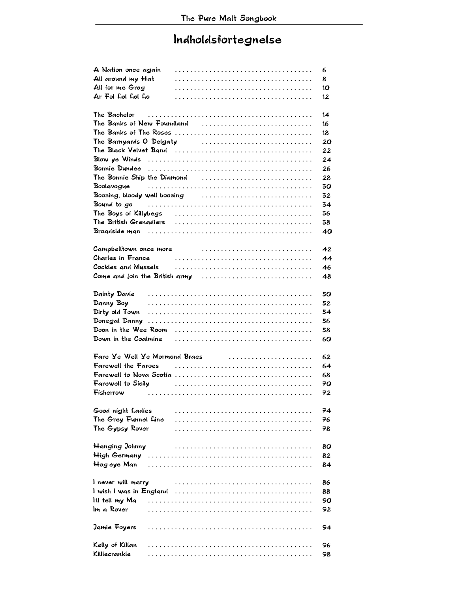## Indholdsfortegnelse

| A Nation once again  |                                                                                                                                                                                                                                                                                                                                                                                                              | 6  |
|----------------------|--------------------------------------------------------------------------------------------------------------------------------------------------------------------------------------------------------------------------------------------------------------------------------------------------------------------------------------------------------------------------------------------------------------|----|
| All around my Hat    |                                                                                                                                                                                                                                                                                                                                                                                                              | 8  |
| All for me Grog      |                                                                                                                                                                                                                                                                                                                                                                                                              | 10 |
| Ar Fol Lol Lol Lo    |                                                                                                                                                                                                                                                                                                                                                                                                              | 12 |
| The Bachelor         |                                                                                                                                                                                                                                                                                                                                                                                                              | 14 |
|                      | The Banks of New Foundland                                                                                                                                                                                                                                                                                                                                                                                   | 16 |
|                      |                                                                                                                                                                                                                                                                                                                                                                                                              | 18 |
|                      |                                                                                                                                                                                                                                                                                                                                                                                                              | 20 |
|                      |                                                                                                                                                                                                                                                                                                                                                                                                              | 22 |
|                      |                                                                                                                                                                                                                                                                                                                                                                                                              | 24 |
|                      |                                                                                                                                                                                                                                                                                                                                                                                                              | 26 |
|                      | The Bonnie Ship the Diamond                                                                                                                                                                                                                                                                                                                                                                                  | 28 |
|                      | Boolavogue $\ldots \ldots \ldots \ldots \ldots \ldots \ldots \ldots \ldots \ldots \ldots \ldots \ldots$                                                                                                                                                                                                                                                                                                      | 30 |
|                      | Boozing, bloody well boozing                                                                                                                                                                                                                                                                                                                                                                                 | 32 |
|                      | Bound to go $\hspace{0.5cm} \ldots \hspace{0.5cm} \ldots \hspace{0.5cm} \ldots \hspace{0.5cm} \ldots \hspace{0.5cm} \ldots \hspace{0.5cm} \ldots \hspace{0.5cm} \ldots \hspace{0.5cm} \ldots \hspace{0.5cm} \ldots \hspace{0.5cm} \ldots \hspace{0.5cm} \ldots \hspace{0.5cm} \ldots \hspace{0.5cm} \ldots \hspace{0.5cm} \ldots \hspace{0.5cm} \ldots \hspace{0.5cm} \ldots \hspace{0.5cm} \ldots \hspace{$ | 34 |
|                      |                                                                                                                                                                                                                                                                                                                                                                                                              | 36 |
|                      |                                                                                                                                                                                                                                                                                                                                                                                                              | 38 |
|                      |                                                                                                                                                                                                                                                                                                                                                                                                              | 40 |
|                      |                                                                                                                                                                                                                                                                                                                                                                                                              |    |
|                      | Campbelltown once more contained and contained and contained and complete contained and contained and contain                                                                                                                                                                                                                                                                                                | 42 |
|                      | Charles in France Arrow Arrow Charles in France                                                                                                                                                                                                                                                                                                                                                              | 44 |
|                      |                                                                                                                                                                                                                                                                                                                                                                                                              | 46 |
|                      | Come and join the British army $\ldots \ldots \ldots \ldots \ldots \ldots \ldots \ldots \ldots$                                                                                                                                                                                                                                                                                                              | 48 |
|                      |                                                                                                                                                                                                                                                                                                                                                                                                              |    |
|                      |                                                                                                                                                                                                                                                                                                                                                                                                              | 50 |
| Danny Boy            |                                                                                                                                                                                                                                                                                                                                                                                                              | 52 |
| Dirty old Town       |                                                                                                                                                                                                                                                                                                                                                                                                              | 54 |
|                      |                                                                                                                                                                                                                                                                                                                                                                                                              | 56 |
|                      |                                                                                                                                                                                                                                                                                                                                                                                                              | 58 |
|                      |                                                                                                                                                                                                                                                                                                                                                                                                              | 60 |
|                      |                                                                                                                                                                                                                                                                                                                                                                                                              |    |
|                      | Fare $\angle$ e Well $\angle$ e Mormond Braes entrances entrances entrances entrances entrances entrances $\angle$                                                                                                                                                                                                                                                                                           | 62 |
|                      |                                                                                                                                                                                                                                                                                                                                                                                                              | 64 |
|                      |                                                                                                                                                                                                                                                                                                                                                                                                              | 68 |
|                      | Farewell to Sicily $\qquad \qquad \ldots \ldots \ldots \ldots \ldots \ldots \ldots \ldots \ldots \ldots$                                                                                                                                                                                                                                                                                                     | 70 |
| Fisherrow            |                                                                                                                                                                                                                                                                                                                                                                                                              | 72 |
| Good night Ladies    |                                                                                                                                                                                                                                                                                                                                                                                                              | 74 |
| The Grey Funnel Line |                                                                                                                                                                                                                                                                                                                                                                                                              | 76 |
| The Gypsy Rover      |                                                                                                                                                                                                                                                                                                                                                                                                              | 78 |
|                      |                                                                                                                                                                                                                                                                                                                                                                                                              |    |
| Hanging Johnny       |                                                                                                                                                                                                                                                                                                                                                                                                              | 80 |
|                      |                                                                                                                                                                                                                                                                                                                                                                                                              | 82 |
| Hog eye Man          |                                                                                                                                                                                                                                                                                                                                                                                                              | 84 |
|                      |                                                                                                                                                                                                                                                                                                                                                                                                              |    |
| I never will marry   |                                                                                                                                                                                                                                                                                                                                                                                                              | 86 |
|                      |                                                                                                                                                                                                                                                                                                                                                                                                              | 88 |
| Iil tell my Ma       |                                                                                                                                                                                                                                                                                                                                                                                                              | 90 |
| Im a Rover           |                                                                                                                                                                                                                                                                                                                                                                                                              | 92 |
| Jamie Foyers         |                                                                                                                                                                                                                                                                                                                                                                                                              | 94 |
| Kelly of Killan      |                                                                                                                                                                                                                                                                                                                                                                                                              | 96 |
| Killiecrankie        |                                                                                                                                                                                                                                                                                                                                                                                                              | 98 |
|                      |                                                                                                                                                                                                                                                                                                                                                                                                              |    |